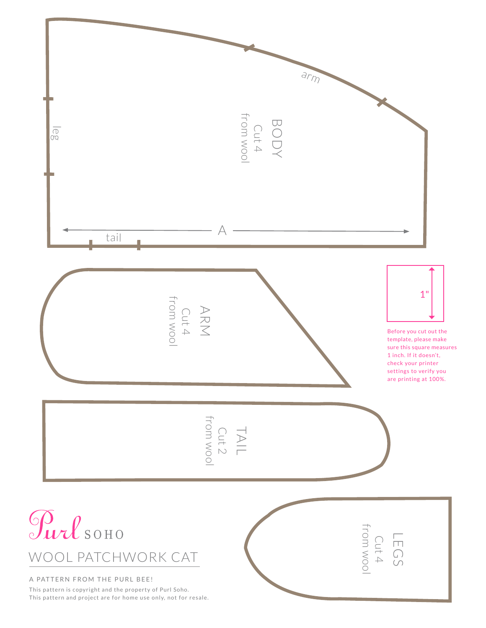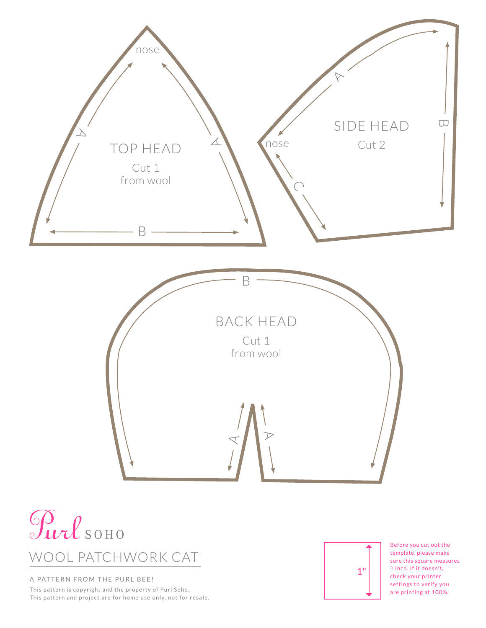



## A PATTERN FROM THE PURL BEE!

This pattern is copyright and the property of Purl Soho. This pattern and project are for home use only, not for resale.



Before you cut out the template, please make sure this square measures 1 inch. If it doesn't, check your printer settings to verify you are printing at 100%.